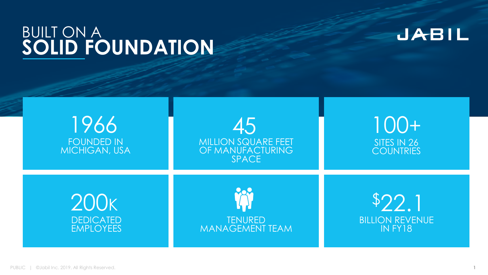# **BUILT ON A SOLID FOUNDATION**



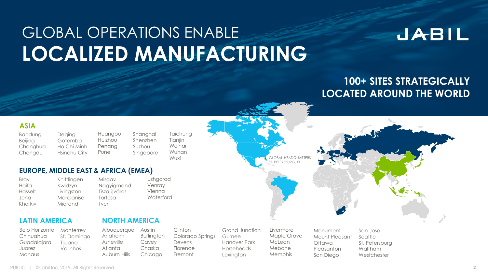# JABIL

# GLOBAL OPERATIONS ENABLE **LOCALIZED MANUFACTURING**

Taichung Tianjin Weihai Wuhan Wuxi

#### **100+ SITES STRATEGICALLY LOCATED AROUND THE WORLD**

#### **ASIA**

Bandung Beijing Changhua Chengdu

Deging Gotemba Ho Chi Minh Hsinchu City Huangpu Huizhou Penang Pune

Shanghai Shenzhen Suzhou Singapore

> Uzhgorod Venray Vienna **Waterford**

#### **EUROPE, MIDDLE EAST & AFRICA (EMEA)**

Misgav Nagyigmand Tiszaújváros Tortosa Tver

| Bray    | Knittlingen |
|---------|-------------|
| Haifa   | Kwidzyn     |
| Hasselt | Livingston  |
| Jena    | Marcianise  |
| Kharkiv | Midrand     |
|         |             |

#### **LATIN AMERICA**

| <b>Belo Horizonte</b> | Monterrey   |
|-----------------------|-------------|
| Chihuahua             | St. Domingo |
| Guadalajara           | Tijuana     |
| Juarez                | Valinhos    |
| Manaus                |             |

| Albuquerque | Austin     |
|-------------|------------|
| Anaheim     | Burlington |
| Asheville   | Cayey      |
| Atlanta     | Chaska     |

Chicago

**NORTH AMERICA**

Auburn Hills

Clinton Colorado Springs Devens Florence Fremont

Grand Junction Gurnee Hanover Park Horseheads Lexington

**Livermore** Maple Grove McLean Mebane Memphis

GLOBAL HEADQUARTERS ST. PETERSBURG, FL

> Monument Mount Pleasant Ottawa Pleasanton San Diego

San Jose Seattle St. Petersburg Waltham **Westchester**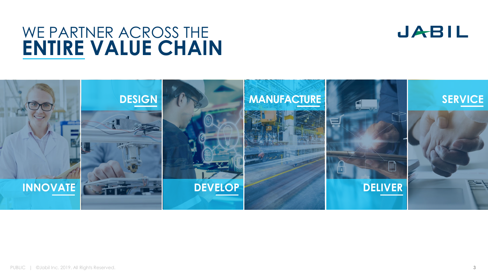# WE PARTNER ACROSS THE **ENTIRE VALUE CHAIN**



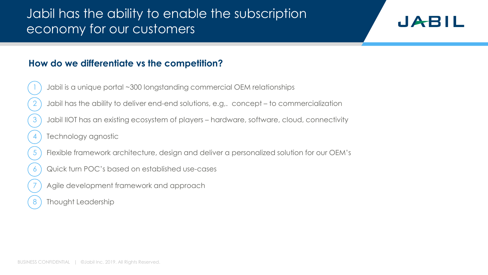### Jabil has the ability to enable the subscription economy for our customers



#### **How do we differentiate vs the competition?**

- 1 Jabil is a unique portal ~300 longstanding commercial OEM relationships
- 2 Jabil has the ability to deliver end-end solutions, e.g,. concept to commercialization
- 3 Jabil IIOT has an existing ecosystem of players hardware, software, cloud, connectivity
- 4) Technology agnostic
- 5 Flexible framework architecture, design and deliver a personalized solution for our OEM's
- 6 Quick turn POC's based on established use-cases
	- Agile development framework and approach
- 8) Thought Leadership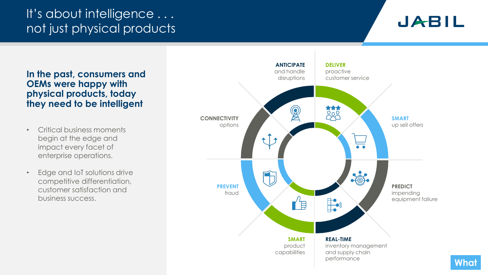### It's about intelligence . . . not just physical products

### JABIL

**In the past, consumers and OEMs were happy with physical products, today they need to be intelligent**

- Critical business moments begin at the edge and impact every facet of enterprise operations.
- Edge and IoT solutions drive competitive differentiation, customer satisfaction and business success.

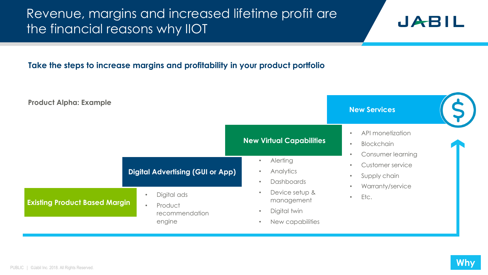### Revenue, margins and increased lifetime profit are the financial reasons why IIOT

# JABIL

**Take the steps to increase margins and profitability in your product portfolio**



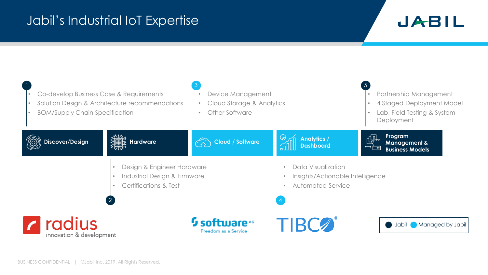#### Jabil's Industrial IoT Expertise

# JABIL

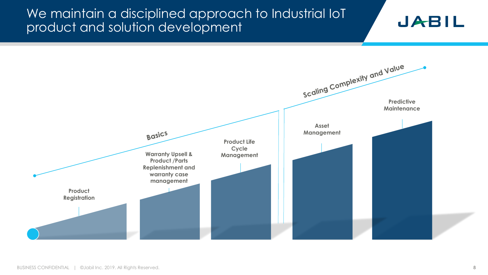#### We maintain a disciplined approach to Industrial IoT product and solution development

#### **Predictive**<br> **Predictive MaintenanceAsset**  Basics **Management Product Life Cycle Warranty Upsell & Management Product /Parts Replenishment and warranty case management Product Registration**

JABIL